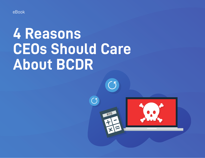eBook

# **4 Reasons CEOs Should Care About BCDR**

 $\overline{5}$ 

 $\overline{C}$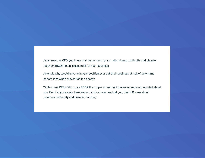As a proactive CEO, you know that implementing a solid business continuity and disaster recovery (BCDR) plan is essential for your business.

After all, why would anyone in your position ever put their business at risk of downtime or data loss when prevention is so easy?

While some CEOs fail to give BCDR the proper attention it deserves, we're not worried about you. But if anyone asks, here are four critical reasons that you, the CEO, care about business continuity and disaster recovery.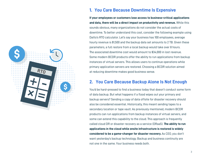

## **1. You Care Because Downtime Is Expensive**

**If your employees or customers lose access to business-critical applications and data, there will be a direct impact on productivity and revenue.** While this sounds obvious, many organizations do not consider the actual costs of downtime. To better understand this cost, consider the following example using Datto's RTO calculator. Let's say your business has 100 employees, average hourly revenue is \$1,500 and the backup data set amounts to 2 TB. Given these parameters, a full restore from a local backup would take over 8 hours. The associated downtime cost would amount to \$34,000 in lost revenue. Some modern BCDR products offer the ability to run applications from backup instances of virtual servers. This allows users to continue operations while primary application servers are restored. Choosing a BCDR solution aimed at reducing downtime makes good business sense.

#### **2. You Care Because Backup Alone Is Not Enough**

You'd be hard-pressed to find a business today that doesn't conduct some form of data backup. But what happens if a flood wipes out your primary and backup servers? Sending a copy of data offsite for disaster recovery should also be considered essential. Historically, this meant sending tapes to a secondary location or tape vault. As previously mentioned, modern BCDR products can run applications from backup instances of virtual servers, and some can extend this capability to the cloud. This approach is frequently called cloud DR or disaster recovery as a service (DRaaS). **The ability to run applications in the cloud while onsite infrastructure is restored is widely considered to be a game-changer for disaster recovery.** As CEO, you don't want yesterday's backup technology. Backup and business continuity are not one in the same. Your business needs both.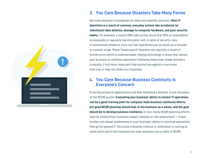

## **3. You Care Because Disasters Take Many Forms**

Not every disaster is broadcast on news and weather channels. **Most IT downtime is a result of common, everyday actions like accidental (or intentional) data deletion, damage to computer hardware, and poor security habits.** For example, a recent OWI Labs survey found that 81% of respondents occasionally or regularly log into public wifi, in spite of security risks. A ransomware attack or virus can halt operations just as easily as a tornado or a power surge. These "lowercase d" disasters are typically a result of human error, which is unpreventable. Having technology in place that allows your business to continue operations following these man-made disasters is equally, if not more, important than protecting against a hurricane that may or may not strike your business.

#### **4. You Care Because Business Continuity Is Everyone's Concern**

Ensuring access to applications and data following a disaster is just one piece of the BCDR puzzle. **Evaluating your business' ability to restore IT operations can be a good starting point for company-wide business continuity efforts, but good BCDR planning should look at the business as a whole, and the goal should be to develop business resilience.** In fact, many BCDR planning efforts start by conducting a business impact analysis or risk assessment — these studies can reveal weaknesses in your business' ability to continue operations that go far beyond IT. You know a disaster (natural or otherwise) is coming at some point and in the company you lead, everyone has a stake in BCDR.